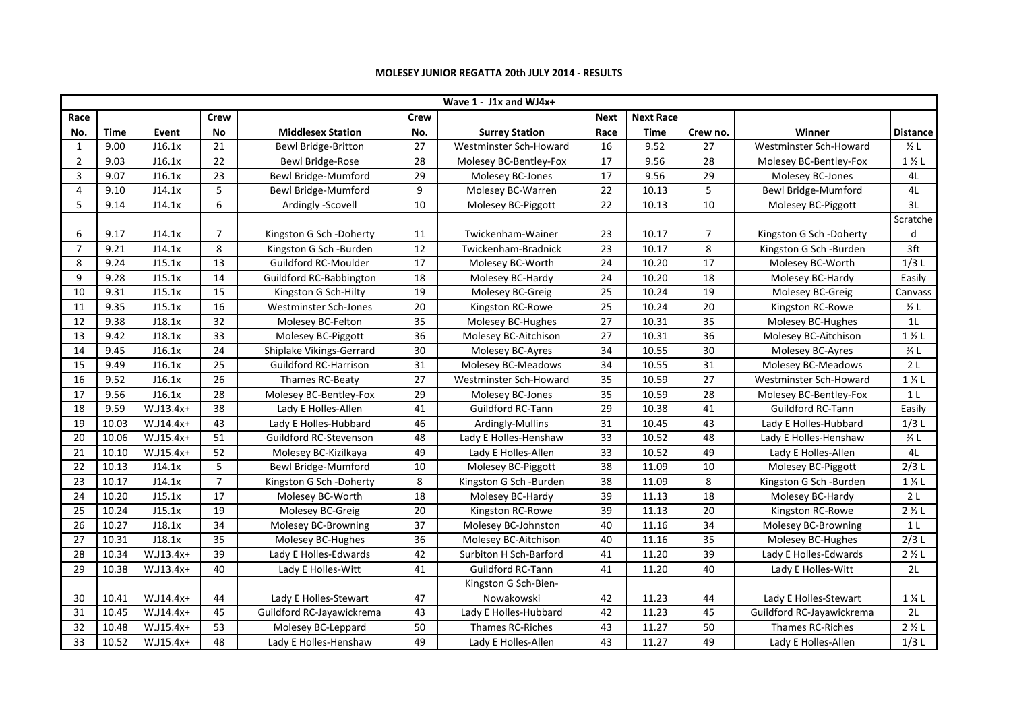|                 |             |             |                 |                                |                 | Wave 1 - J1x and WJ4x+ |                 |                  |                 |                           |                           |
|-----------------|-------------|-------------|-----------------|--------------------------------|-----------------|------------------------|-----------------|------------------|-----------------|---------------------------|---------------------------|
| Race            |             |             | <b>Crew</b>     |                                | <b>Crew</b>     |                        | <b>Next</b>     | <b>Next Race</b> |                 |                           |                           |
| No.             | <b>Time</b> | Event       | <b>No</b>       | <b>Middlesex Station</b>       | No.             | <b>Surrey Station</b>  | Race            | <b>Time</b>      | Crew no.        | Winner                    | <b>Distance</b>           |
| $\mathbf{1}$    | 9.00        | J16.1x      | 21              | Bewl Bridge-Britton            | 27              | Westminster Sch-Howard | 16              | 9.52             | 27              | Westminster Sch-Howard    | $\frac{1}{2}$ L           |
| $\overline{2}$  | 9.03        | J16.1x      | 22              | Bewl Bridge-Rose               | 28              | Molesey BC-Bentley-Fox | 17              | 9.56             | 28              | Molesey BC-Bentley-Fox    | $1\frac{1}{2}$ L          |
| 3               | 9.07        | J16.1x      | 23              | Bewl Bridge-Mumford            | 29              | Molesey BC-Jones       | 17              | 9.56             | 29              | Molesey BC-Jones          | 4L                        |
| $\overline{4}$  | 9.10        | J14.1x      | 5               | Bewl Bridge-Mumford            | 9               | Molesey BC-Warren      | 22              | 10.13            | 5               | Bewl Bridge-Mumford       | 4L                        |
| 5               | 9.14        | J14.1x      | 6               | Ardingly -Scovell              | 10              | Molesey BC-Piggott     | 22              | 10.13            | 10              | Molesey BC-Piggott        | 3L                        |
|                 |             |             |                 |                                |                 |                        |                 |                  |                 |                           | Scratche                  |
| 6               | 9.17        | J14.1x      | $\overline{7}$  | Kingston G Sch -Doherty        | 11              | Twickenham-Wainer      | 23              | 10.17            | $\overline{7}$  | Kingston G Sch -Doherty   | d                         |
| $\overline{7}$  | 9.21        | J14.1x      | 8               | Kingston G Sch -Burden         | 12              | Twickenham-Bradnick    | 23              | 10.17            | 8               | Kingston G Sch -Burden    | $\overline{3}$ ft         |
| 8               | 9.24        | J15.1x      | 13              | Guildford RC-Moulder           | 17              | Molesey BC-Worth       | 24              | 10.20            | 17              | Molesey BC-Worth          | 1/3L                      |
| 9               | 9.28        | J15.1x      | 14              | <b>Guildford RC-Babbington</b> | 18              | Molesey BC-Hardy       | 24              | 10.20            | 18              | Molesey BC-Hardy          | Easily                    |
| 10              | 9.31        | J15.1x      | 15              | Kingston G Sch-Hilty           | 19              | Molesey BC-Greig       | 25              | 10.24            | 19              | Molesey BC-Greig          | Canvass                   |
| 11              | 9.35        | J15.1x      | $\overline{16}$ | Westminster Sch-Jones          | $\overline{20}$ | Kingston RC-Rowe       | $\overline{25}$ | 10.24            | $\overline{20}$ | Kingston RC-Rowe          | $\frac{1}{2}$ L           |
| 12              | 9.38        | J18.1x      | 32              | Molesey BC-Felton              | 35              | Molesey BC-Hughes      | 27              | 10.31            | 35              | Molesey BC-Hughes         | 11                        |
| 13              | 9.42        | J18.1x      | 33              | Molesey BC-Piggott             | $\overline{36}$ | Molesey BC-Aitchison   | 27              | 10.31            | $\overline{36}$ | Molesey BC-Aitchison      | $1\frac{1}{2}$ L          |
| 14              | 9.45        | J16.1x      | 24              | Shiplake Vikings-Gerrard       | $\overline{30}$ | Molesey BC-Ayres       | $\overline{34}$ | 10.55            | $\overline{30}$ | Molesey BC-Ayres          | $\frac{3}{4}$             |
| 15              | 9.49        | J16.1x      | 25              | <b>Guildford RC-Harrison</b>   | 31              | Molesey BC-Meadows     | 34              | 10.55            | 31              | Molesey BC-Meadows        | 2L                        |
| $\overline{16}$ | 9.52        | J16.1x      | $\overline{26}$ | Thames RC-Beaty                | $\overline{27}$ | Westminster Sch-Howard | $\overline{35}$ | 10.59            | $\overline{27}$ | Westminster Sch-Howard    | $1\%$ L                   |
| 17              | 9.56        | J16.1x      | 28              | Molesey BC-Bentley-Fox         | 29              | Molesey BC-Jones       | 35              | 10.59            | 28              | Molesey BC-Bentley-Fox    | 1 <sub>L</sub>            |
| 18              | 9.59        | $W.J13.4x+$ | 38              | Lady E Holles-Allen            | 41              | Guildford RC-Tann      | 29              | 10.38            | 41              | Guildford RC-Tann         | Easily                    |
| 19              | 10.03       | W.J14.4x+   | 43              | Lady E Holles-Hubbard          | 46              | Ardingly-Mullins       | 31              | 10.45            | 43              | Lady E Holles-Hubbard     | 1/3L                      |
| 20              | 10.06       | $W.J15.4x+$ | 51              | Guildford RC-Stevenson         | 48              | Lady E Holles-Henshaw  | 33              | 10.52            | 48              | Lady E Holles-Henshaw     | $\frac{3}{4}$ L           |
| 21              | 10.10       | W.J15.4x+   | 52              | Molesey BC-Kizilkaya           | 49              | Lady E Holles-Allen    | 33              | 10.52            | 49              | Lady E Holles-Allen       | 4L                        |
| 22              | 10.13       | J14.1x      | 5               | Bewl Bridge-Mumford            | 10              | Molesey BC-Piggott     | $\overline{38}$ | 11.09            | 10              | Molesey BC-Piggott        | 2/3L                      |
| 23              | 10.17       | J14.1x      | $\overline{7}$  | Kingston G Sch -Doherty        | 8               | Kingston G Sch -Burden | 38              | 11.09            | 8               | Kingston G Sch -Burden    | 1 % L                     |
| 24              | 10.20       | J15.1x      | 17              | Molesey BC-Worth               | 18              | Molesey BC-Hardy       | 39              | 11.13            | 18              | Molesey BC-Hardy          | 2 <sub>L</sub>            |
| 25              | 10.24       | J15.1x      | 19              | Molesey BC-Greig               | 20              | Kingston RC-Rowe       | 39              | 11.13            | 20              | Kingston RC-Rowe          | 2 <i>Y</i> <sub>2</sub> L |
| 26              | 10.27       | J18.1x      | 34              | Molesey BC-Browning            | $\overline{37}$ | Molesey BC-Johnston    | 40              | 11.16            | $\overline{34}$ | Molesey BC-Browning       | 1 <sub>L</sub>            |
| 27              | 10.31       | J18.1x      | 35              | Molesey BC-Hughes              | 36              | Molesey BC-Aitchison   | 40              | 11.16            | 35              | Molesey BC-Hughes         | 2/3L                      |
| 28              | 10.34       | $W.J13.4x+$ | 39              | Lady E Holles-Edwards          | 42              | Surbiton H Sch-Barford | 41              | 11.20            | $\overline{39}$ | Lady E Holles-Edwards     | $2 \frac{1}{2}$ L         |
| 29              | 10.38       | W.J13.4x+   | 40              | Lady E Holles-Witt             | 41              | Guildford RC-Tann      | 41              | 11.20            | 40              | Lady E Holles-Witt        | 2L                        |
|                 |             |             |                 |                                |                 | Kingston G Sch-Bien-   |                 |                  |                 |                           |                           |
| 30              | 10.41       | $W.J14.4x+$ | 44              | Lady E Holles-Stewart          | 47              | Nowakowski             | 42              | 11.23            | 44              | Lady E Holles-Stewart     | $1\%L$                    |
| 31              | 10.45       | $W.J14.4x+$ | 45              | Guildford RC-Jayawickrema      | 43              | Lady E Holles-Hubbard  | 42              | 11.23            | 45              | Guildford RC-Jayawickrema | 2L                        |
| 32              | 10.48       | $W.J15.4x+$ | 53              | Molesey BC-Leppard             | 50              | Thames RC-Riches       | 43              | 11.27            | 50              | Thames RC-Riches          | $2 \frac{1}{2}$ L         |
| 33              | 10.52       | $W.J15.4x+$ | 48              | Lady E Holles-Henshaw          | 49              | Lady E Holles-Allen    | 43              | 11.27            | 49              | Lady E Holles-Allen       | 1/3L                      |

## MOLESEY JUNIOR REGATTA 20th JULY 2014 - RESULTS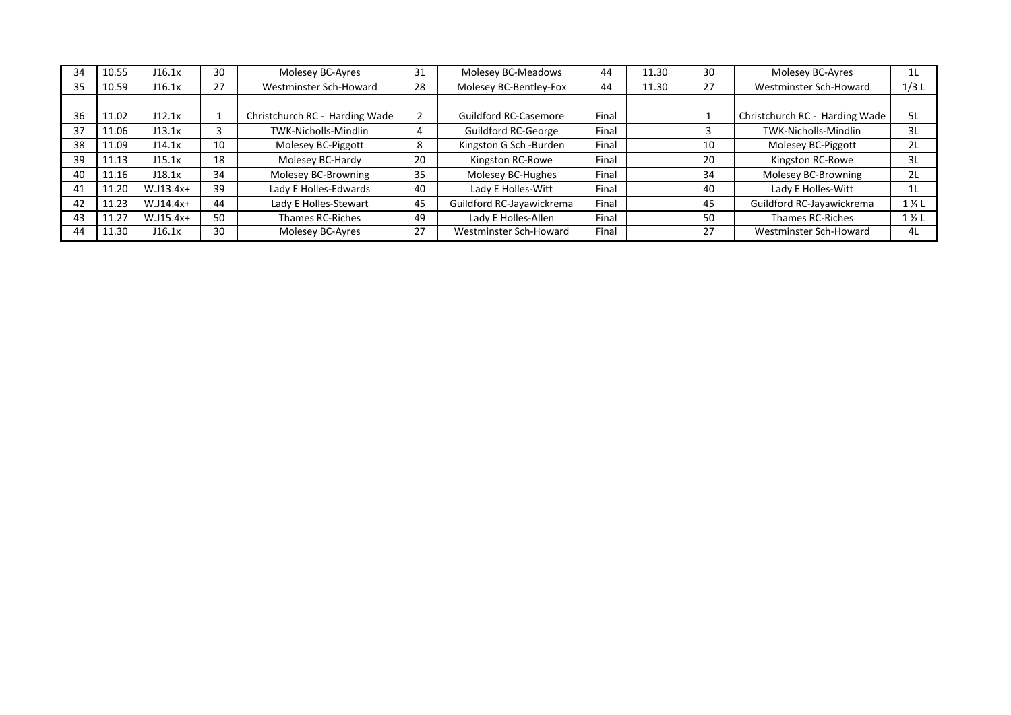| 34 | 10.55 | J16.1x      | 30 | Molesey BC-Ayres               | 31 | Molesey BC-Meadows           | 44    | 11.30 | 30 | Molesey BC-Ayres               | 1L               |
|----|-------|-------------|----|--------------------------------|----|------------------------------|-------|-------|----|--------------------------------|------------------|
| 35 | 10.59 | J16.1x      | 27 | Westminster Sch-Howard         | 28 | Molesey BC-Bentley-Fox       | 44    | 11.30 | 27 | Westminster Sch-Howard         | 1/3L             |
|    |       |             |    |                                |    |                              |       |       |    |                                |                  |
| 36 | 11.02 | J12.1x      |    | Christchurch RC - Harding Wade |    | <b>Guildford RC-Casemore</b> | Final |       |    | Christchurch RC - Harding Wade | 5L               |
| 37 | 11.06 | J13.1x      |    | TWK-Nicholls-Mindlin           |    | Guildford RC-George          | Final |       |    | TWK-Nicholls-Mindlin           | 3L               |
| 38 | 11.09 | J14.1x      | 10 | Molesey BC-Piggott             | 8  | Kingston G Sch -Burden       | Final |       | 10 | Molesey BC-Piggott             | 2L               |
| 39 | 11.13 | J15.1x      | 18 | Molesey BC-Hardy               | 20 | Kingston RC-Rowe             | Final |       | 20 | Kingston RC-Rowe               | 3L               |
| 40 | 11.16 | J18.1x      | 34 | Molesey BC-Browning            | 35 | Molesey BC-Hughes            | Final |       | 34 | Molesey BC-Browning            | 2L               |
| 41 | 11.20 | $W.J13.4x+$ | 39 | Lady E Holles-Edwards          | 40 | Lady E Holles-Witt           | Final |       | 40 | Lady E Holles-Witt             | 1L               |
| 42 | 11.23 | $W.J14.4x+$ | 44 | Lady E Holles-Stewart          | 45 | Guildford RC-Jayawickrema    | Final |       | 45 | Guildford RC-Jayawickrema      | $1\%$ L          |
| 43 | 11.27 | $W.J15.4x+$ | 50 | Thames RC-Riches               | 49 | Lady E Holles-Allen          | Final |       | 50 | <b>Thames RC-Riches</b>        | $1\frac{1}{2}$ L |
| 44 | 11.30 | J16.1x      | 30 | Molesey BC-Ayres               | 27 | Westminster Sch-Howard       | Final |       | 27 | Westminster Sch-Howard         | 4L               |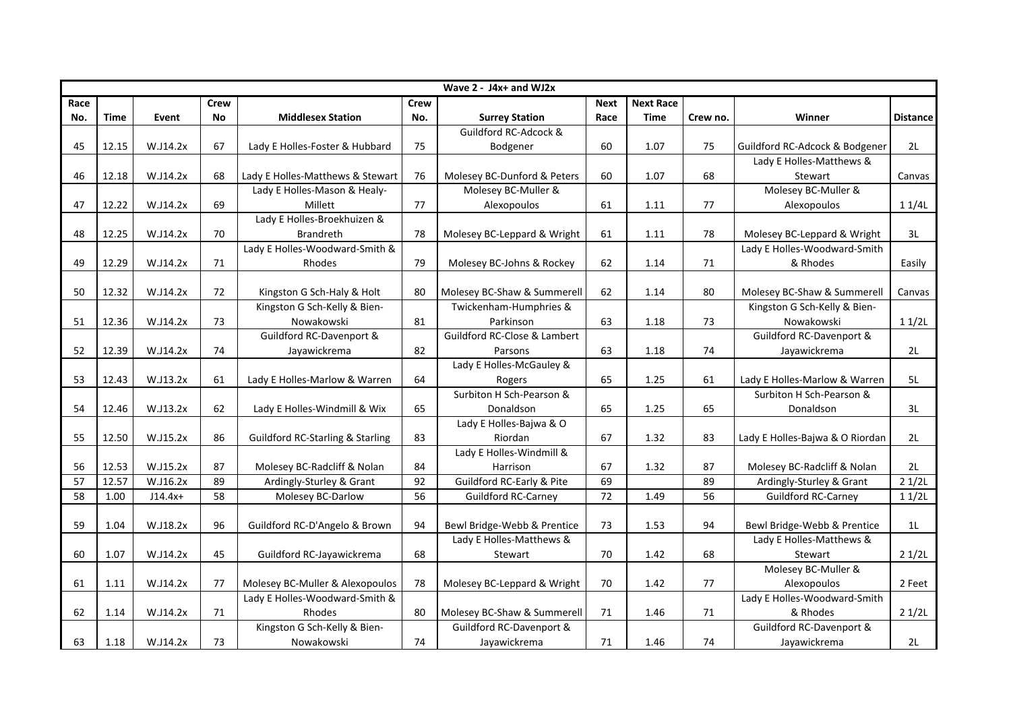|      | Wave $2 - J4x +$ and WJ2x |           |             |                                             |             |                                      |             |                  |          |                                 |                 |  |  |  |
|------|---------------------------|-----------|-------------|---------------------------------------------|-------------|--------------------------------------|-------------|------------------|----------|---------------------------------|-----------------|--|--|--|
| Race |                           |           | <b>Crew</b> |                                             | <b>Crew</b> |                                      | <b>Next</b> | <b>Next Race</b> |          |                                 |                 |  |  |  |
| No.  | Time                      | Event     | No          | <b>Middlesex Station</b>                    | No.         | <b>Surrey Station</b>                | Race        | <b>Time</b>      | Crew no. | Winner                          | <b>Distance</b> |  |  |  |
|      |                           |           |             |                                             |             | Guildford RC-Adcock &                |             |                  |          |                                 |                 |  |  |  |
| 45   | 12.15                     | W.J14.2x  | 67          | Lady E Holles-Foster & Hubbard              | 75          | Bodgener                             | 60          | 1.07             | 75       | Guildford RC-Adcock & Bodgener  | 2L              |  |  |  |
|      |                           |           |             |                                             |             |                                      |             |                  |          | Lady E Holles-Matthews &        |                 |  |  |  |
| 46   | 12.18                     | W.J14.2x  | 68          | Lady E Holles-Matthews & Stewart            | 76          | Molesey BC-Dunford & Peters          | 60          | 1.07             | 68       | Stewart                         | Canvas          |  |  |  |
|      |                           |           |             | Lady E Holles-Mason & Healy-                |             | Molesey BC-Muller &                  |             |                  |          | Molesey BC-Muller &             |                 |  |  |  |
| 47   | 12.22                     | W.J14.2x  | 69          | Millett                                     | 77          | Alexopoulos                          | 61          | 1.11             | 77       | Alexopoulos                     | 11/4L           |  |  |  |
|      |                           |           |             | Lady E Holles-Broekhuizen &                 |             |                                      |             |                  |          |                                 |                 |  |  |  |
| 48   | 12.25                     | W.J14.2x  | 70          | <b>Brandreth</b>                            | 78          | Molesey BC-Leppard & Wright          | 61          | 1.11             | 78       | Molesey BC-Leppard & Wright     | 3L              |  |  |  |
|      |                           |           |             | Lady E Holles-Woodward-Smith &              |             |                                      |             |                  |          | Lady E Holles-Woodward-Smith    |                 |  |  |  |
| 49   | 12.29                     | W.J14.2x  | 71          | Rhodes                                      | 79          | Molesey BC-Johns & Rockey            | 62          | 1.14             | 71       | & Rhodes                        | Easily          |  |  |  |
|      |                           |           |             |                                             |             |                                      |             |                  |          |                                 |                 |  |  |  |
| 50   | 12.32                     | W.J14.2x  | 72          | Kingston G Sch-Haly & Holt                  | 80          | Molesey BC-Shaw & Summerell          | 62          | 1.14             | 80       | Molesey BC-Shaw & Summerell     | Canvas          |  |  |  |
|      |                           |           |             | Kingston G Sch-Kelly & Bien-                |             | Twickenham-Humphries &               |             |                  |          | Kingston G Sch-Kelly & Bien-    |                 |  |  |  |
| 51   | 12.36                     | W.J14.2x  | 73          | Nowakowski                                  | 81          | Parkinson                            | 63          | 1.18             | 73       | Nowakowski                      | 11/2L           |  |  |  |
|      |                           |           |             | Guildford RC-Davenport &                    |             | Guildford RC-Close & Lambert         |             |                  |          | Guildford RC-Davenport &        |                 |  |  |  |
| 52   | 12.39                     | W.J14.2x  | 74          | Jayawickrema                                | 82          | Parsons                              | 63          | 1.18             | 74       | Jayawickrema                    | 2L              |  |  |  |
|      |                           |           |             |                                             |             | Lady E Holles-McGauley &             |             |                  |          |                                 |                 |  |  |  |
| 53   | 12.43                     | W.J13.2x  | 61          | Lady E Holles-Marlow & Warren               | 64          | Rogers                               | 65          | 1.25             | 61       | Lady E Holles-Marlow & Warren   | 5L              |  |  |  |
|      |                           |           |             |                                             |             | Surbiton H Sch-Pearson &             |             |                  |          | Surbiton H Sch-Pearson &        |                 |  |  |  |
| 54   | 12.46                     | W.J13.2x  | 62          | Lady E Holles-Windmill & Wix                | 65          | Donaldson                            | 65          | 1.25             | 65       | Donaldson                       | 3L              |  |  |  |
|      |                           |           |             |                                             |             | Lady E Holles-Bajwa & O              |             |                  |          |                                 |                 |  |  |  |
| 55   | 12.50                     | W.J15.2x  | 86          | <b>Guildford RC-Starling &amp; Starling</b> | 83          | Riordan                              | 67          | 1.32             | 83       | Lady E Holles-Bajwa & O Riordan | 2L              |  |  |  |
|      |                           |           |             |                                             |             | Lady E Holles-Windmill &             |             |                  |          |                                 |                 |  |  |  |
| 56   | 12.53                     | W.J15.2x  | 87          | Molesey BC-Radcliff & Nolan                 | 84          | Harrison                             | 67          | 1.32             | 87       | Molesey BC-Radcliff & Nolan     | 2L              |  |  |  |
| 57   | 12.57                     | W.J16.2x  | 89          | Ardingly-Sturley & Grant                    | 92          | <b>Guildford RC-Early &amp; Pite</b> | 69          |                  | 89       | Ardingly-Sturley & Grant        | 21/2L           |  |  |  |
| 58   | 1.00                      | $J14.4x+$ | 58          | Molesey BC-Darlow                           | 56          | <b>Guildford RC-Carney</b>           | 72          | 1.49             | 56       | <b>Guildford RC-Carney</b>      | 11/2L           |  |  |  |
|      |                           |           |             |                                             |             |                                      |             |                  |          |                                 |                 |  |  |  |
| 59   | 1.04                      | W.J18.2x  | 96          | Guildford RC-D'Angelo & Brown               | 94          | Bewl Bridge-Webb & Prentice          | 73          | 1.53             | 94       | Bewl Bridge-Webb & Prentice     | 1 <sub>L</sub>  |  |  |  |
|      |                           |           |             |                                             |             | Lady E Holles-Matthews &             |             |                  |          | Lady E Holles-Matthews &        |                 |  |  |  |
| 60   | 1.07                      | W.J14.2x  | 45          | Guildford RC-Jayawickrema                   | 68          | Stewart                              | 70          | 1.42             | 68       | Stewart                         | 21/2L           |  |  |  |
|      |                           |           |             |                                             |             |                                      |             |                  |          | Molesey BC-Muller &             |                 |  |  |  |
| 61   | 1.11                      | W.J14.2x  | 77          | Molesey BC-Muller & Alexopoulos             | 78          | Molesey BC-Leppard & Wright          | 70          | 1.42             | 77       | Alexopoulos                     | 2 Feet          |  |  |  |
|      |                           |           |             | Lady E Holles-Woodward-Smith &              |             |                                      |             |                  |          | Lady E Holles-Woodward-Smith    |                 |  |  |  |
| 62   | 1.14                      | W.J14.2x  | 71          | Rhodes                                      | 80          | Molesey BC-Shaw & Summerell          | 71          | 1.46             | 71       | & Rhodes                        | 21/2L           |  |  |  |
|      |                           |           |             | Kingston G Sch-Kelly & Bien-                |             | Guildford RC-Davenport &             |             |                  |          | Guildford RC-Davenport &        |                 |  |  |  |
| 63   | 1.18                      | W.J14.2x  | 73          | Nowakowski                                  | 74          | Jayawickrema                         | 71          | 1.46             | 74       | Jayawickrema                    | 2L              |  |  |  |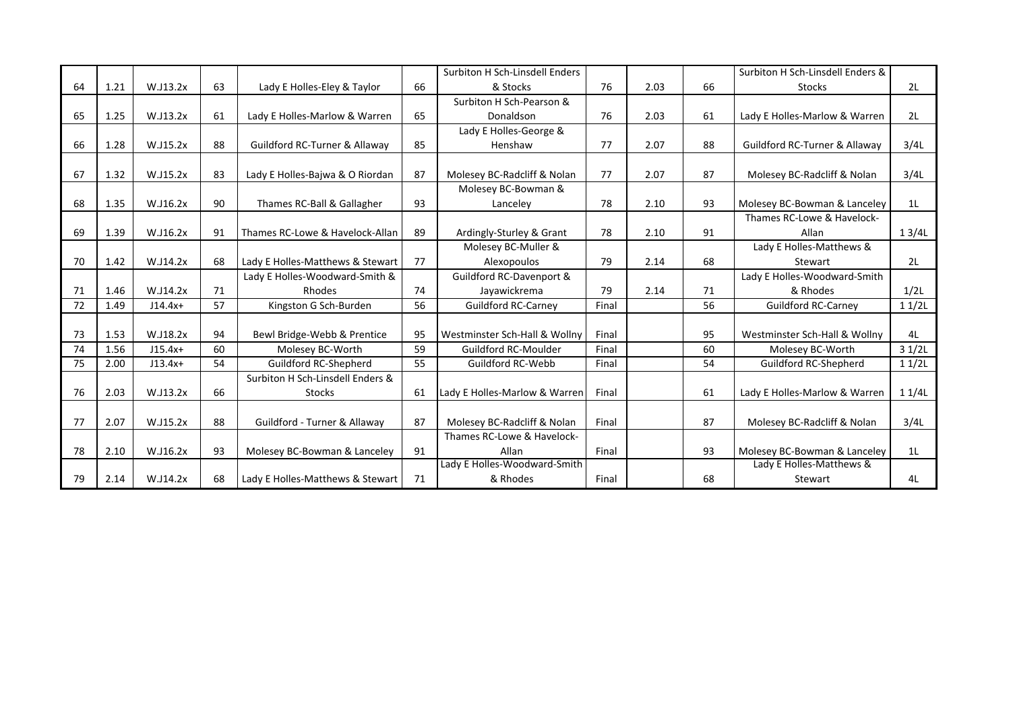|    |      |           |    |                                          |    | Surbiton H Sch-Linsdell Enders |       |      |    | Surbiton H Sch-Linsdell Enders &         |       |
|----|------|-----------|----|------------------------------------------|----|--------------------------------|-------|------|----|------------------------------------------|-------|
| 64 | 1.21 | W.J13.2x  | 63 | Lady E Holles-Eley & Taylor              | 66 | & Stocks                       | 76    | 2.03 | 66 | <b>Stocks</b>                            | 2L    |
|    |      |           |    |                                          |    | Surbiton H Sch-Pearson &       |       |      |    |                                          |       |
| 65 | 1.25 | W.J13.2x  | 61 | Lady E Holles-Marlow & Warren            | 65 | Donaldson                      | 76    | 2.03 | 61 | Lady E Holles-Marlow & Warren            | 2L    |
|    |      |           |    |                                          |    | Lady E Holles-George &         |       |      |    |                                          |       |
| 66 | 1.28 | W.J15.2x  | 88 | <b>Guildford RC-Turner &amp; Allaway</b> | 85 | Henshaw                        | 77    | 2.07 | 88 | <b>Guildford RC-Turner &amp; Allaway</b> | 3/4L  |
|    |      |           |    |                                          |    |                                |       |      |    |                                          |       |
| 67 | 1.32 | W.J15.2x  | 83 | Lady E Holles-Bajwa & O Riordan          | 87 | Molesey BC-Radcliff & Nolan    | 77    | 2.07 | 87 | Molesey BC-Radcliff & Nolan              | 3/4L  |
|    |      |           |    |                                          |    | Molesey BC-Bowman &            |       |      |    |                                          |       |
| 68 | 1.35 | W.J16.2x  | 90 | Thames RC-Ball & Gallagher               | 93 | Lancelev                       | 78    | 2.10 | 93 | Molesey BC-Bowman & Lanceley             | 1L    |
|    |      |           |    |                                          |    |                                |       |      |    | Thames RC-Lowe & Havelock-               |       |
| 69 | 1.39 | W.J16.2x  | 91 | Thames RC-Lowe & Havelock-Allan          | 89 | Ardingly-Sturley & Grant       | 78    | 2.10 | 91 | Allan                                    | 13/4L |
|    |      |           |    |                                          |    | Molesey BC-Muller &            |       |      |    | Lady E Holles-Matthews &                 |       |
| 70 | 1.42 | W.J14.2x  | 68 | Lady E Holles-Matthews & Stewart         | 77 | Alexopoulos                    | 79    | 2.14 | 68 | Stewart                                  | 2L    |
|    |      |           |    | Lady E Holles-Woodward-Smith &           |    | Guildford RC-Davenport &       |       |      |    | Lady E Holles-Woodward-Smith             |       |
| 71 | 1.46 | W.J14.2x  | 71 | Rhodes                                   | 74 | Jayawickrema                   | 79    | 2.14 | 71 | & Rhodes                                 | 1/2L  |
| 72 | 1.49 | $J14.4x+$ | 57 | Kingston G Sch-Burden                    | 56 | <b>Guildford RC-Carney</b>     | Final |      | 56 | <b>Guildford RC-Carney</b>               | 11/2L |
|    |      |           |    |                                          |    |                                |       |      |    |                                          |       |
| 73 | 1.53 | W.J18.2x  | 94 | Bewl Bridge-Webb & Prentice              | 95 | Westminster Sch-Hall & Wollny  | Final |      | 95 | Westminster Sch-Hall & Wollny            | 4L    |
| 74 | 1.56 | $J15.4x+$ | 60 | Molesey BC-Worth                         | 59 | Guildford RC-Moulder           | Final |      | 60 | Molesey BC-Worth                         | 31/2L |
| 75 | 2.00 | $J13.4x+$ | 54 | Guildford RC-Shepherd                    | 55 | Guildford RC-Webb              | Final |      | 54 | Guildford RC-Shepherd                    | 11/2L |
|    |      |           |    | Surbiton H Sch-Linsdell Enders &         |    |                                |       |      |    |                                          |       |
| 76 | 2.03 | W.J13.2x  | 66 | <b>Stocks</b>                            | 61 | Lady E Holles-Marlow & Warren  | Final |      | 61 | Lady E Holles-Marlow & Warren            | 11/4L |
|    |      |           |    |                                          |    |                                |       |      |    |                                          |       |
| 77 | 2.07 | W.J15.2x  | 88 | Guildford - Turner & Allaway             | 87 | Molesey BC-Radcliff & Nolan    | Final |      | 87 | Molesey BC-Radcliff & Nolan              | 3/4L  |
|    |      |           |    |                                          |    | Thames RC-Lowe & Havelock-     |       |      |    |                                          |       |
| 78 | 2.10 | W.J16.2x  | 93 | Molesey BC-Bowman & Lanceley             | 91 | Allan                          | Final |      | 93 | Molesey BC-Bowman & Lanceley             | 1L    |
|    |      |           |    |                                          |    | Lady E Holles-Woodward-Smith   |       |      |    | Lady E Holles-Matthews &                 |       |
| 79 | 2.14 | W.J14.2x  | 68 | Lady E Holles-Matthews & Stewart         | 71 | & Rhodes                       | Final |      | 68 | Stewart                                  | 4L    |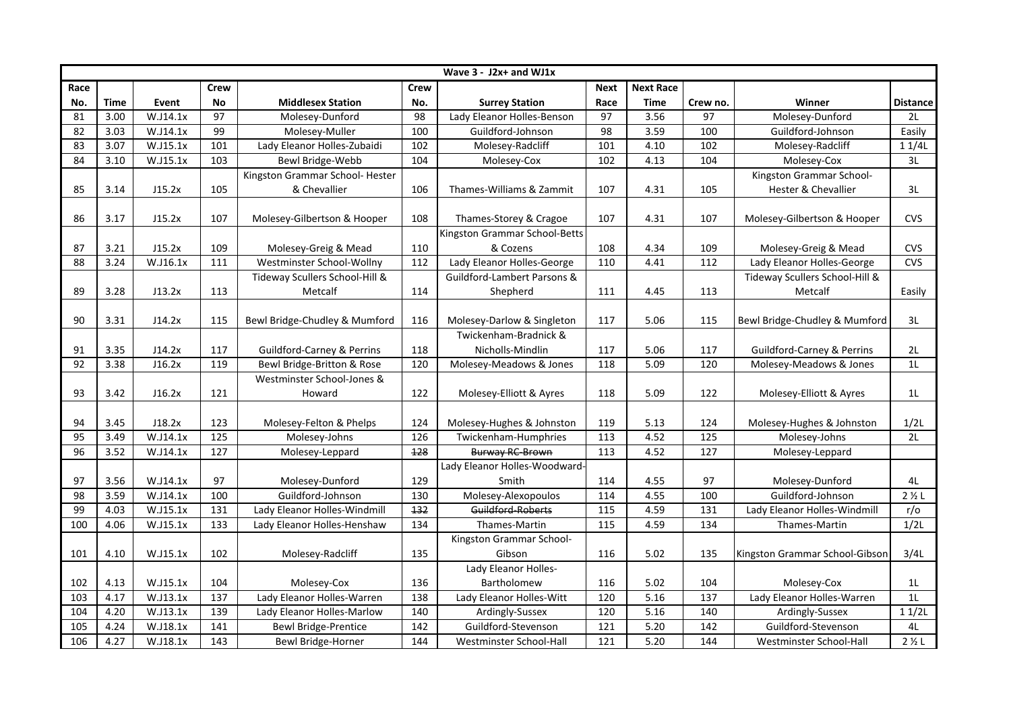|                 | Wave $3 - J2x +$ and WJ1x |          |                 |                                       |                  |                               |             |                  |                 |                                       |                   |  |  |  |
|-----------------|---------------------------|----------|-----------------|---------------------------------------|------------------|-------------------------------|-------------|------------------|-----------------|---------------------------------------|-------------------|--|--|--|
| Race            |                           |          | <b>Crew</b>     |                                       | <b>Crew</b>      |                               | <b>Next</b> | <b>Next Race</b> |                 |                                       |                   |  |  |  |
| No.             | <b>Time</b>               | Event    | No              | <b>Middlesex Station</b>              | No.              | <b>Surrey Station</b>         | Race        | Time             | Crew no.        | Winner                                | <b>Distance</b>   |  |  |  |
| 81              | 3.00                      | W.J14.1x | 97              | Molesey-Dunford                       | 98               | Lady Eleanor Holles-Benson    | 97          | 3.56             | 97              | Molesey-Dunford                       | 2L                |  |  |  |
| 82              | 3.03                      | W.J14.1x | 99              | Molesey-Muller                        | 100              | Guildford-Johnson             | 98          | 3.59             | 100             | Guildford-Johnson                     | Easily            |  |  |  |
| 83              | 3.07                      | W.J15.1x | 101             | Lady Eleanor Holles-Zubaidi           | 102              | Molesey-Radcliff              | 101         | 4.10             | 102             | Molesey-Radcliff                      | 11/4L             |  |  |  |
| 84              | 3.10                      | W.J15.1x | 103             | Bewl Bridge-Webb                      | 104              | Molesey-Cox                   | 102         | 4.13             | 104             | Molesey-Cox                           | 3L                |  |  |  |
|                 |                           |          |                 | Kingston Grammar School- Hester       |                  |                               |             |                  |                 | Kingston Grammar School-              |                   |  |  |  |
| 85              | 3.14                      | J15.2x   | 105             | & Chevallier                          | 106              | Thames-Williams & Zammit      | 107         | 4.31             | 105             | Hester & Chevallier                   | 3L                |  |  |  |
|                 |                           |          |                 |                                       |                  |                               |             |                  |                 |                                       |                   |  |  |  |
| 86              | 3.17                      | J15.2x   | 107             | Molesey-Gilbertson & Hooper           | 108              | Thames-Storey & Cragoe        | 107         | 4.31             | 107             | Molesey-Gilbertson & Hooper           | <b>CVS</b>        |  |  |  |
|                 |                           |          |                 |                                       |                  | Kingston Grammar School-Betts |             |                  |                 |                                       |                   |  |  |  |
| 87              | 3.21                      | J15.2x   | 109             | Molesey-Greig & Mead                  | 110              | & Cozens                      | 108         | 4.34             | 109             | Molesey-Greig & Mead                  | <b>CVS</b>        |  |  |  |
| 88              | 3.24                      | W.J16.1x | 111             | Westminster School-Wollny             | 112              | Lady Eleanor Holles-George    | 110         | 4.41             | 112             | Lady Eleanor Holles-George            | <b>CVS</b>        |  |  |  |
|                 |                           |          |                 | Tideway Scullers School-Hill &        |                  | Guildford-Lambert Parsons &   |             |                  |                 | Tideway Scullers School-Hill &        |                   |  |  |  |
| 89              | 3.28                      | J13.2x   | 113             | Metcalf                               | 114              | Shepherd                      | 111         | 4.45             | 113             | Metcalf                               | Easily            |  |  |  |
|                 |                           |          |                 |                                       |                  |                               |             |                  |                 |                                       |                   |  |  |  |
| 90              | 3.31                      | J14.2x   | 115             | Bewl Bridge-Chudley & Mumford         | 116              | Molesey-Darlow & Singleton    | 117         | 5.06             | 115             | Bewl Bridge-Chudley & Mumford         | 3L                |  |  |  |
|                 |                           |          |                 |                                       |                  | Twickenham-Bradnick &         |             |                  |                 |                                       |                   |  |  |  |
| 91              | 3.35                      | J14.2x   | 117             | <b>Guildford-Carney &amp; Perrins</b> | 118              | Nicholls-Mindlin              | 117         | 5.06             | 117             | <b>Guildford-Carney &amp; Perrins</b> | 2L                |  |  |  |
| 92              | 3.38                      | J16.2x   | 119             | Bewl Bridge-Britton & Rose            | 120              | Molesey-Meadows & Jones       | 118         | 5.09             | 120             | Molesey-Meadows & Jones               | 11                |  |  |  |
|                 |                           |          |                 | Westminster School-Jones &            |                  |                               |             |                  |                 |                                       |                   |  |  |  |
| 93              | 3.42                      | J16.2x   | 121             | Howard                                | 122              | Molesey-Elliott & Ayres       | 118         | 5.09             | 122             | Molesey-Elliott & Ayres               | 1 <sub>L</sub>    |  |  |  |
|                 |                           |          |                 |                                       |                  |                               |             |                  |                 |                                       |                   |  |  |  |
| 94              | 3.45                      | J18.2x   | 123             | Molesey-Felton & Phelps               | 124              | Molesey-Hughes & Johnston     | 119         | 5.13             | 124             | Molesey-Hughes & Johnston             | 1/2L              |  |  |  |
| 95              | 3.49                      | W.J14.1x | 125             | Molesey-Johns                         | 126              | Twickenham-Humphries          | 113         | 4.52             | 125             | Molesey-Johns                         | 2L                |  |  |  |
| $\overline{96}$ | 3.52                      | W.J14.1x | $\frac{127}{2}$ | Molesey-Leppard                       | $\overline{128}$ | <b>Burway RC-Brown</b>        | 113         | 4.52             | $\frac{127}{2}$ | Molesey-Leppard                       |                   |  |  |  |
|                 |                           |          |                 |                                       |                  | Lady Eleanor Holles-Woodward- |             |                  |                 |                                       |                   |  |  |  |
| 97              | 3.56                      | W.J14.1x | 97              | Molesey-Dunford                       | 129              | Smith                         | 114         | 4.55             | 97              | Molesey-Dunford                       | 4L                |  |  |  |
| 98              | 3.59                      | W.J14.1x | 100             | Guildford-Johnson                     | 130              | Molesey-Alexopoulos           | 114         | 4.55             | 100             | Guildford-Johnson                     | $2 \frac{1}{2}$ L |  |  |  |
| 99              | 4.03                      | W.J15.1x | 131             | Lady Eleanor Holles-Windmill          | 132              | Guildford-Roberts             | 115         | 4.59             | 131             | Lady Eleanor Holles-Windmill          | r/o               |  |  |  |
| 100             | 4.06                      | W.J15.1x | 133             | Lady Eleanor Holles-Henshaw           | 134              | Thames-Martin                 | 115         | 4.59             | 134             | Thames-Martin                         | 1/2L              |  |  |  |
|                 |                           |          |                 |                                       |                  | Kingston Grammar School-      |             |                  |                 |                                       |                   |  |  |  |
| 101             | 4.10                      | W.J15.1x | 102             | Molesey-Radcliff                      | 135              | Gibson                        | 116         | 5.02             | 135             | Kingston Grammar School-Gibson        | 3/4L              |  |  |  |
|                 |                           |          |                 |                                       |                  | Lady Eleanor Holles-          |             |                  |                 |                                       |                   |  |  |  |
| 102             | 4.13                      | W.J15.1x | 104             | Molesey-Cox                           | 136              | Bartholomew                   | 116         | 5.02             | 104             | Molesey-Cox                           | 1L                |  |  |  |
| 103             | 4.17                      | W.J13.1x | 137             | Lady Eleanor Holles-Warren            | 138              | Lady Eleanor Holles-Witt      | 120         | 5.16             | 137             | Lady Eleanor Holles-Warren            | 1 <sub>L</sub>    |  |  |  |
| 104             | 4.20                      | W.J13.1x | 139             | Lady Eleanor Holles-Marlow            | 140              | Ardingly-Sussex               | 120         | 5.16             | 140             | Ardingly-Sussex                       | 11/2L             |  |  |  |
| 105             | 4.24                      | W.J18.1x | $\frac{141}{1}$ | <b>Bewl Bridge-Prentice</b>           | $\frac{142}{2}$  | Guildford-Stevenson           | 121         | 5.20             | $\frac{142}{2}$ | Guildford-Stevenson                   | 4L                |  |  |  |
| 106             | 4.27                      | W.J18.1x | 143             | Bewl Bridge-Horner                    | 144              | Westminster School-Hall       | 121         | 5.20             | 144             | Westminster School-Hall               | $2 \frac{1}{2}$ L |  |  |  |